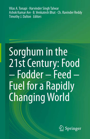Vilas A. Tonapi · Harvinder Singh Talwar Ashok Kumar Are · B. Venkatesh Bhat · Ch. Ravinder Reddy Timothy J. Dalton  *Editors*

# Sorghum in the 21st Century: Food – Fodder – Feed – Fuel for a Rapidly Changing World

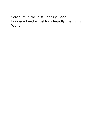Sorghum in the 21st Century: Food – Fodder – Feed – Fuel for a Rapidly Changing World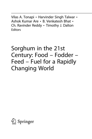Vilas A. Tonapi • Harvinder Singh Talwar • Ashok Kumar Are • B. Venkatesh Bhat • Ch. Ravinder Reddy • Timothy J. Dalton **Editors** 

## Sorghum in the 21st Century: Food – Fodder – Feed – Fuel for a Rapidly Changing World

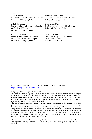**Editors** Vilas A. Tonapi ICAR-Indian Institute of Millets Research Hyderabad, Telangana, India

Ashok Kumar Are International Crops Research Institute for the Semi-Arid Tropics Patancheru, Telangana, India

Ch. Ravinder Reddy Formerly, International Crops Research Institute for the Semi-Arid Tropics Patancheru, Telangana, India

Harvinder Singh Talwar ICAR-Indian Institute of Millet Research Hyderabad, Telangana, India

B. Venkatesh Bhat ICAR-Indian Institute of Millets Research Hyderabad, Telangana, India

Timothy J. Dalton Department of Agricultural Economics Kansas State University Manhattan, Kansas, USA

#### ISBN 978-981-15-8248-6 ISBN 978-981-15-8249-3 (eBook) <https://doi.org/10.1007/978-981-15-8249-3>

#### $\circledcirc$  Springer Nature Singapore Pte Ltd. 2020

This work is subject to copyright. All rights are reserved by the Publisher, whether the whole or part of the material is concerned, specifically the rights of translation, reprinting, reuse of illustrations, recitation, broadcasting, reproduction on microfilms or in any other physical way, and transmission or information storage and retrieval, electronic adaptation, computer software, or by similar or dissimilar methodology now known or hereafter developed.

The use of general descriptive names, registered names, trademarks, service marks, etc. in this publication does not imply, even in the absence of a specific statement, that such names are exempt from the relevant protective laws and regulations and therefore free for general use.

The publisher, the authors, and the editors are safe to assume that the advice and information in this book are believed to be true and accurate at the date of publication. Neither the publisher nor the authors or the editors give a warranty, expressed or implied, with respect to the material contained herein or for any errors or omissions that may have been made. The publisher remains neutral with regard to jurisdictional claims in published maps and institutional affiliations.

This Springer imprint is published by the registered company Springer Nature Singapore Pte Ltd. The registered company address is: 152 Beach Road, #21-01/04 Gateway East, Singapore 189721, Singapore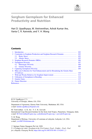

### Sorghum Germplasm for Enhanced Productivity and Nutrition

#### Hari D. Upadhyaya, M. Vetriventhan, Ashok Kumar Are, Vania C. R. Azevedo, and Y. H. Wang

#### **Contents**

|    |                                                                                | 102 |
|----|--------------------------------------------------------------------------------|-----|
| 2  | <b>Constraints in Sorghum Production and Sorghum Research Domains </b>         | 103 |
|    | 2.1                                                                            | 103 |
|    | 2.2.                                                                           | 105 |
| 3  |                                                                                | 106 |
| 4  |                                                                                | 107 |
|    |                                                                                | 108 |
|    |                                                                                | 109 |
| 5. |                                                                                | 109 |
| 6  | Mini core Collection for Trait Enhancement and for Broadening the Genetic Base |     |
|    |                                                                                | 110 |
| 7  |                                                                                | 113 |
| 8  |                                                                                | 114 |
| 9  |                                                                                | 115 |
| 10 |                                                                                | 119 |
|    |                                                                                | 119 |
|    |                                                                                |     |

H. D. Upadhyaya  $(\boxtimes)$ University of Georgia, Athens, GA, USA

Department of Agronomy, Kansas State University, Manhattan, KS, USA e-mail: [harideo.upadhyaya@gmail.com](mailto:harideo.upadhyaya@gmail.com)

M. Vetriventhan · A. K. Are · V. C. R. Azevedo International Crops Research Institute for the Semi-Arid Tropics, Patancheru, Telangana, India e-mail: [M.Vetriventhan@cgiar.org;](mailto:M.Vetriventhan@cgiar.org) [a.ashokkumar@cgiar.org](mailto:a.ashokkumar@cgiar.org); [v.azevedo@cgiar.org](mailto:v.azevedo@cgiar.org)

Y. H. Wang

Department of Biology, University of Louisiana at Lafayette, Lafayette, LA, USA e-mail: [yxw9887@louisiana.edu](mailto:yxw9887@louisiana.edu)

 $\oslash$  Springer Nature Singapore Pte Ltd. 2020

V. A Tonapi et al. (eds.), Sorghum in the 21st Century: Food - Fodder - Feed - Fuel for a Rapidly Changing World, [https://doi.org/10.1007/978-981-15-8249-3\\_5](https://doi.org/10.1007/978-981-15-8249-3_5#DOI)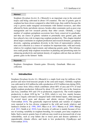#### <span id="page-5-0"></span>Abstract

Sorghum [Sorghum bicolor (L.) Moench] is an important crop in the semi-arid tropics and being cultivated in about 110 countries. The rate of genetic gain in sorghum has been slower compared to other field crops, that could be because the crop is grown under marginal environments with limited resources, and often affected by biotic and abiotic stresses, besides other constraints such as poor crop management and low research priority than other cereals. Globally, a large number of sorghum germplasm accessions have been conserved in genebanks, and they are source of genetic variation to potentially raise genetic gain, and have played a key role in improving sorghum productivity. This chapter detailed about major constraints in sorghum production and research domains, germplasm diversity, capturing germplasm diversity in the form of representative subsets, mini core collection as a source of variation for important traits, wild and weedy relatives for sorghum improvement, and enhancing genetic gains. This information could greatly help sorghum researchers in planning and prioritizing traits for enhancing productivity and nutrient density of sorghum cultivars that can deliver genetic gains in the farmers' fields.

#### Keywords

Sorghum · Germplasm · Genetic gains · Diversity · Genebank · Mini core collection

#### 1 Introduction

Sorghum [Sorghum bicolor (L.) Moench] is a staple food crop for millions of the poorest and most food-insecure people in the semi-arid tropics. Globally sorghum was cultivated in 44.8 million ha with a production of 63.9 million tons during 2016, largely comes from Africa which contributes about 68% of area and 47% of total global sorghum production; followed by about 13% and 16% area in the Americas and Asia, contribute 36% and 13% to production, respectively. The world sorghum productivity is about 1428 kg ha<sup>-1</sup> in 2016, which is very low, mainly because sorghum is largely cultivated in marginal lands with limited inputs, often damaged by several insect pests and diseases and abiotic stresses (Upadhyaya and Vetriventhan [2018\)](#page-26-0). The genetically improved hybrids and varieties of sorghum were reported to be less diverse compared to the wild and weedy relatives and landraces (Jordan et al. [1998,](#page-24-0) [2003;](#page-24-0) Mace et al. [2013](#page-24-0); Murray et al. [2009](#page-24-0); Mutegi et al. [2011](#page-24-0); Smith et al. [2010\)](#page-25-0). Low diversity of cultivars is mainly because of low use of existing variability in sorghum breeding, for example, post rainy sorghum in India. Such a narrow genetic base of cultivars may result in an increased risk of crop vulnerability, such as crop failure due to insect pests and disease epidemics or unpredictable climatic effects, and leads to low productivity (Upadhyaya and Vetriventhan [2018](#page-26-0)).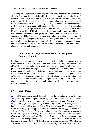<span id="page-6-0"></span>In sorghum, a significant number of germplasm accessions have been conserved globally that could be potentially utilized to enhance quality and productivity of sorghum. Lack of reliable information on traits of economic interest is one of the main reasons for limited use of germplasm, besides other reasons such as restricted access to the germplasm as a result of regulations governing international exchange, the linkage load of many undesirable genes, etc. Efforts have been made to establish germplasm diversity representative subsets and trait-specific sources have been identified in sorghum. Utilization of such diverse trait-specific sources could potentially enhance productivity and quality of sorghum cultivars and increase rate of genetic gains. This chapter details about constraints in sorghum production and research domains, germplasm diversity, capturing germplasm diversity in the form of core/mini core collections, mini core collection as a source for economic important traits, wild and weedy relatives for sorghum improvement, utilization of germplasm in breeding and genetic gains.

#### 2 Constraints in Sorghum Production and Sorghum Research Domains

Sorghum is largely cultivated on marginal soils with limited inputs as compared to major cereals such as wheat, maize, and rice. In addition, sorghum production is affected by many factors leading to significant losses to farmers. Broadly four major production constraints in sorghum can be categorized into biotic, abiotic, crop management, and socio-economic factors, of these biotic and abiotic stresses cause severe crop losses. From a crop management point of view, most of sorghum crop in Africa and to some extent in Asia is under fertilized and grown with limited crop care. Socio-economic constraints especially poor access to agricultural information and inadequate farmer knowledge and training result in limited adoption of improved technologies.

#### 2.1 Biotic Stress

Around 150 insect species attack the sorghum crop throughout its life cycle (Sharma [1993\)](#page-25-0). Among them, sorghum shoot fly (Atherigona soccata), stem borers (Chilo partellus, Busseola fusca, Eldana saccharina, and Diatraea spp.), armyworms (Mythimna separata, Spodoptera frugiperda, and S. exempta), shoot bug (Peregrinus maidis), aphids (Schizaphis graminum and Melanaphis sacchari), spider mites (Oligonychus spp.), grasshoppers and locusts (Hieroglyphus, Oedaleus, Aliopus, Schistocerca, and Locusta), sorghum midge (Stenodiplosis sorghicola), mirid head bugs (Calocoris angustatus and Eurystylus oldi), and head caterpillars (Helicoverpa, Eublemma, Cryptoblabes, Pyroderces, and Nola) are the major pests worldwide. The damages caused by them have been estimated to be \$1089 million in the semi-arid tropics (SAT), \$250 million in the United States, and \$80 million in Australia (ICRISAT [1992\)](#page-23-0). In India, nearly 32% of sorghum crop is lost due to insect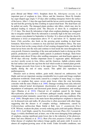pests (Borad and Mittal [1983\)](#page-23-0). Sorghum shoot fly, Atherigona soccata, is an important pest of sorghum in Asia, Africa, and the Americas. Shoot fly females lay cigar-shaped eggs singly 5–25 days after seedling emergence below the surface of the leaves. After 1–2 days the eggs hatch and the larvae crawls toward the growing tip and feed the growing tip thus resulting in typical dead heart. The dead heart can be pulled out easily. The damaged plants produce side tillers, which may also be attacked leading to reduced yield. The lifecycle of shoot fly is completed in 17–21 days. The shoot fly infestation is high when sorghum plantings are staggered due to irregular rainfall. Shoot fly infestation is normally high in the late sown postrainy season crop planted in September to October. It is observed that the shoot fly infestation is lower at temperatures above  $35^{\circ}$ C and below 18  $^{\circ}$ C. Spotted stem borer, Chilo partellus, also feeds on the growing point resulting in dead heart formation. Stem borer is common in Asia and East and Southern Africa. The stem borer larvae feed on the young whorls of leaf creating elongated holes, and the third instar larvae bores into the stem and continue to feed inside the stem throughout the crop growth. Extensive tunneling of the stem and peduncle leads to drying up of the panicle, production of a partially chaffy panicle or peduncle breakage. Stem borer infestation starts about 20 days after seedling emergence, and dead hearts appear on 30–40 days old-crop. Another important insect is sugarcane aphid, Melanaphis sacchari, mostly occurs in Asia, Africa, and the Americas. Aphids colonize under the leaf surface and suck the sap from the leaf which results in stunted plant growth. The damage proceeds from lower to the upper leaves. Their population increases rapidly during the end of rainy season. This aphid also reproduces by parthenogenesis.

Diseases such as downy mildew, grain mold, charcoal rot, anthracnose, leaf blight, and rust are important causing considerable loss to grain and forage sorghum production worldwide. Grain mold, caused by a complex of many fungi, is a major disease on sorghum that causes severe grain losses when the crop harvesting coincides with the rains (Thakur et al. [2006\)](#page-25-0). Damage resulting from early infection includes reduced kernel development; discoloration of grains; colonization and degradation of endosperm; and decreased grain density, germination, and seedling vigor (Sharma et al. [2010\)](#page-25-0). Charcoal rot of sorghum caused by the fungus Macrophomina phaseolina is a soil-borne pathogen usually attacks plants with compromised plant immunity caused due to unfavorable growing conditions (Das et al. [2008](#page-23-0)). Drought stress is the main factor that predisposes sorghum to charcoal rot. In diseased roots and stalks, M. *phaseolina* is often associated with other fungi, suggesting that the disease is of complex etiology. Anthracnose, caused by Colletotrichum sublineolum Hann. Kabát et Bub. (syn. C. graminicola (Ces.) G.W. Wilson), weakens the plant, severely reducing grain yield and quality (Sharma et al. [2012](#page-25-0)). Leaf blight, caused by Exserohilum turcicum (Pass.) K.J. Leonard & Suggs, is widely distributed and, at times, one of the most damaging foliar pathogen of sorghum, causing significant grain losses due to the reduction of the photosynthetic leaf area (Sharma et al. [2012\)](#page-25-0). Rust (Puccinia purpurea Cooke) is another foliar disease of sorghum that reduces forage quality and grain yield. It occurs in almost all sorghum-growing areas of the world. Under favorable conditions, rust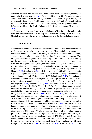<span id="page-8-0"></span>development is fast and affects panicle exertion and grain development, resulting in poor grain yield (Sharma et al. [2012\)](#page-25-0). Downy mildew, caused by Peronosclerospora sorghi, can cause severe epidemics, resulting in considerable yield losses, and economically important and widespread in many tropical and subtropical regions of the world where sorghum and maize are grown, and its systemic nature of infection, resulting in the death of plants or lack of panicle initiation (Sharma et al. [2010\)](#page-25-0).

Besides insect pests and diseases, in sub-Saharan Africa, Striga is the major biotic constraint which competes with the crop for nutrients thus causing fertility reduction, N deficiency necessitating the use of higher quantity of fertilizer to balance the yield.

#### 2.2 Abiotic Stress

Sorghum is an important crop in semi-arid tropics because of their better adaptability to abiotic stresses, as it is mainly grown in areas of low rainfall and resource-poor agronomic conditions. Owing to its ability to survive in water-limiting conditions, sorghum has majorly been studied for its drought resistance mechanism. The drought response in sorghum differs depending on the occurrence of stress during pre-flowering and post-flowering. Post-flowering drought is a major production constraint in sorghum. Stay-green (non-senescence or delayed senescence) under moisture stress is an important trait in sustaining a positive nitrogen balance in sorghum and for sustaining yield under stress during grain filling (Borrell and Hammer [2000;](#page-23-0) Sanchez et al. [2002\)](#page-25-0). Efforts were made to identify several genomic regions of sorghum associated with pre- and post-flowering drought tolerance using several donors such as B 35, QL 41, and SC 56 (Sabadin et al. [2012](#page-25-0)). Researchers at Patancheru selected six candidate QTLs for the stay-green trait from donor B 35, using published results including Stg1, Stg2, Stg3, and Stg4 reported by Subudhi and Nguyen ([2000\)](#page-25-0), Sanchez et al. [\(2002](#page-25-0)), and Harris et al. [\(2007](#page-23-0)) as well as additional QTLs on SBI-01 (StgA) and SBI-02 (StgB), and initiated marker-assisted backcross to transfer these QTLs into a number of genetically diverse, tropically adapted elite sorghum varieties of Asia, Africa and Latin America, having a range of drought tolerance (Hash et al. [2003](#page-23-0)). Reddy et al. [\(2014](#page-25-0)) reported 61 QTL controlling stay-green trait in sorghum. Another donor parent for stay-green, E 36-1, a cultivar of Ethiopian origin, has also been used to map QTLs for the staygreen trait in two RIL (recombinant inbred line) mapping populations from which a total of seven QTLs were identified (Haussmann et al. [2002](#page-23-0)), with three of them being common to both populations. So, overall, six sources of the stay-green trait (B 35, E 36-1, QL 41, SC 56, SC 283, and SDS 1948-3) have so far been used for the identification of QTLs, and QTLs have been identified on all ten sorghum linkage groups. Recurrent parents included highly senescent rabi adapted durra variety R 16, 2-dwarf tan white-grained caudatum variety ISIAP Dorado, and 2-dwarf tan white-grained sweet-stemmed caudatum sister-line varieties S 35 and ICSV 111. Several of the stay-green QTLs identified have been validated in different backgrounds (Harris et al. [2007](#page-23-0); Kassahun et al. [2010](#page-24-0); Vadez et al. [2011](#page-26-0)). The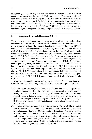<span id="page-9-0"></span>stay-green QTL Stg1 in sorghum has also shown its capacity to enhance water uptake in senescent S 35 background (Vadez et al. [2011\)](#page-26-0). However, the effect of Stg1 was not visible in R 16 background. This highlights the importance for future research on stay-green to precisely decipher the mechanisms involved, and whether any of these mechanisms is already available in target recipients. In most sorghum improvement programs globally, E 36-1 and B 35 have been extensively used for developing hybrid seed parents (B-lines) and pollen parents (R-lines) and cultivars.

#### 3 Sorghum Research Domains (SRDs)

The sorghum research domains provide scope for better utilization of results and the data obtained for prioritization of the research and facilitating the interaction among the sorghum researchers. The research domains were designed based on different agro-ecologies, which are analogous to current day product profiles. In sorghum, a total of eight research domains have been designed in terms of soil and climatic conditions regardless of national boundaries (Bantilan et al. [2004](#page-23-0)). These domains are: (1) SRD I: Production of rainy season and dual purpose sorghum with main emphasis on feed and fodder. The constraints to be focused in SRD I are grain mold, shoot fly, head bug, and post-flowering drought tolerance. (2) SRD II: Rainy season dual-purpose sorghum (grain and fodder), and the constraints focused includes stem borer, grain mold, midge, shoot fly, and drought. (3) SRD III: Emphasis is to improve dual purpose and fodder sorghum along with their associated pests and diseases. (4) SRD IV: Emphasis is on forage sorghum and their associated pests and diseases. (5) SRD V: Early-sown post rainy sorghum, (6) SRD VI: Late-sown post rainy sorghum. (7) SRD VII: Irrigated sorghum. (8) SRD VIII: Extreme altitude sorghum.

More recently specific product profiles were developed for sorghum improvement. For example, in Asia program at ICRISAT, there are four product profiles:

- Post-rainy season sorghum for food and feed: The estimated area under post rainy sorghum production is 4.0 million ha, focusing on Indian sub-continent, predominantly Maharashtra, Karnataka, Telangana, Andhra Pradesh, and Madhya Pradesh states in India. Must-have traits include high grain yield, white bold globular lustrous grains, with maturity duration of 120–130 days and plant height 2–2.2 m and resistant to shoot fly and charcoal rot, and tolerant to post-flowering drought stress.
- Rainy season sorghum for food, feed, and industrial uses (brewing): The estimated area for production is 2.5 million ha. This product profile covers the Indian states of Maharashtra, Rajasthan, Madhya Pradesh, Karnataka, Telangana, Andhra Pradesh, Tamil Nadu, and Gujarat with spillover benefits in other parts of Asia and Africa. High grain yield and stover yield, with maturity duration of 110–120 days, white bold grains for food and feed use, and high starch  $($ >68%) and medium protein  $(8-10\%)$  for industrial use, and resistant to shoot fly, stem borer and grain mold, are must-have traits.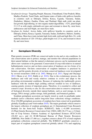- <span id="page-10-0"></span>Sorghum for forage: Targeting Punjab, Haryana, Uttarakhand, Uttar Pradesh, Bihar, Madhya Pradesh, Tamil Nadu, and Gujarat states of India with spillover benefits in countries such as Ethiopia, Eritrea, Kenya, Uganda, Tanzania, Sudan, Zimbabwe, Malawi, Zambia, China, and Thailand. High stalk yield, tan plant, fast growth, high tillering, in vitro organic matter digestibility  $>52\%$ , plant height 2.2–2.5 m with single cult/multi-cut types and resistant to shoot fly, stem borer, anthracnose and leaf blight, are must-have traits.
- Sorghum for biofuel: Across India, with spillover benefits in countries such as Ethiopia, Eritrea, Kenya, Uganda, Tanzania, Sudan, Zimbabwe, Malawi, Zambia, and China. Must-have traits include high fresh stalk yield and high Brix (%), with maturity duration of 120–130 days, plant height over 2.5 m, and resistant to shoot fly and stem borer.

#### 4 Germplasm Diversity

Plant genetic resources (PGR) are conserved under in situ and ex situ conditions. In situ conservations aim to protect, manage, and monitor the selected populations in their natural habitats so that the natural evolutionary process can be maintained and allows new variations to be generated. Conservation of crop wild relatives in natural habitat/genetic reserves and on-farm conservation of landraces are two forms of in situ conservation. On-farm conservation of sorghum landraces is practiced by farmers, and the genetic diversity of on-farm conserved landraces were investigated by several researchers (Abdi et al. [2002;](#page-22-0) Mutegi et al. [2011](#page-24-0); Ngugi and Onyango [2012;](#page-24-0) Okeno et al. [2012;](#page-24-0) Rabbi et al. [2010](#page-25-0)). Due to the evolutionary process, the landraces and wild and weedy relatives continue to evolve and adapt to the prevailing environmental conditions. Because of replacing the traditionally grown landraces with the modern high yielding cultivars resulted in loss of landraces, causing genetic erosion of important genes. Therefore, it is essential to collect and conserve crops' diversity ex situ. Ex situ conservation aims to conserve components of biological diversity outside their natural habitats, such as seed storage, in vitro storage, DNA storage, pollen storage, field genebank, and botanical gardens.

Sorghum germplasm accessions are largely stored as seeds in genebanks under medium (active collection) and/or long-term (base collection) storage conditions. Over 236,000 germplasm accessions of sorghum have been conserved in genebanks globally (Upadhyaya and Vetriventhan [2018](#page-26-0)). The major genebanks which conserve the largest collection of sorghum germplasm are (1) International Crops Research Institute for the Semi-Arid Tropics (ICRISAT), India (>41,000 accessions), (2) Plant Genetic Resources Conservation Unit, USDA-ARS (36,173 acc.), (3) Institute of Crop Science, Chinese Academy of Agricultural Sciences (ICS-CAAS) (18,263 acc.), and (4) ICAR-National Bureau of Plant Genetic Resources (NBPGR), New Delhi (17,466 acc.), together conserve about 47% of total sorghum germplasm collections conserved globally. The ICRISAT genebank conserves a major part of sorghum germplasm conserved globally (about 17%) and supplying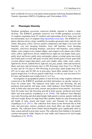<span id="page-11-0"></span>them worldwide for use in crop improvement programs following Standard Material Transfer Agreement (SMTA) (Upadhyaya and Vetriventhan [2018](#page-26-0)).

#### 4.1 Phenotypic Diversity

Sorghum germplasm accessions conserved globally reported to harbor a large diversity. The ICRISAT genebank conserves over 41,000 germplasm accessions of sorghum originating from 93 countries and representing all five basic races and ten intermediate races of sorghum (<http://genebank.icrisat.org/>). The ICRISAT sorghum collection shows a large variability for morpho-agronomic traits: mid-rib color (white, dull green, yellow, brown); panicle compactness and shape (very loose stiff branches, very loos drooping branches; loose stiff branches, loose drooping branches, semi-loose drooping branches, semi-loose stiff branches, semi-compact elliptic, semi-compact oval, compact elliptic, and compact oval); glume color (white, straw, yellow, light brown, brown, reddish brown, light red, red, purple, black, grey, partly straw and brown, partly straw and purple); glume covering (grain uncovered, one-fourth grain covered, half grain covered, three-fourth grain covered, grain fully covered, glumes longer than grain); seed color (chalky white, white, straw, yellow, light brown, brown, reddish brown, light red, red, grey, purple, white and red mixed, black, and straw and red mixed); days to 50% flowering varies from 31 to 199 days in rainy and 36–154 days to 50% flowering in post-rainy; plant height from 50 to 655 cm in rainy and 50–580 cm in post-rainy; basal tillers number from 1 to 14; panicle length from 3 to 90 cm; panicle width from 1 to 80 cm; seed size from 0.8 to 6.0 mm; and hundred seed weight from 0.1 to 9.4 g.

Investigation on geographical pattern of trait diversity using sorghum collection conserved at the ICRISAT genebank provided information on specific regions to focus for certain traits. The landraces from India were late flowering, tall and produced stout panicles and larger seeds, while landraces from Pakistan flowered early in both rainy and post-rainy seasons and produced stout panicles. Accessions from Sri Lanka were late flowering and tall in both seasons, produced more basal tillers and stout panicles (Upadhyaya et al. [2016b](#page-26-0)). The landraces from Ethiopia were early flowering and short plant height, high panicle exertion, panicle width and 100 seed weight; Kenya for high basal tiller number; Sudan for early flowering and tall height in rainy season and larger seeds; and Tanzania for long panicles (Upadhyaya et al. [2017c](#page-26-0)). The collection from Sierra Leone flowered late in both rainy and post-rainy seasons, produced more basal tillers per plant and longer panicles. The collection from Central African Republic grew significantly short in rainy season and tall in post-rainy season. The collection from Gambia is for panicle exertion and panicle width, Nigeria for seed width, and Cameroon for seed weight (Upadhyaya et al. [2017b](#page-26-0)).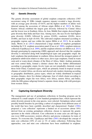#### <span id="page-12-0"></span>4.2 Genetic Diversity

The genetic diversity assessment of global sorghum composite collection (3367 accessions) using 41 SSRs (simple sequence repeats) revealed a large diversity, with an average gene diversity of 0.674, and the highest numbers of alleles were detected among the accessions of African origin (Billot et al. [2013](#page-23-0)). In Africa, Eastern African exhibited the largest gene diversity followed by Central Africa and the lowest was in Southern Africa. In Asia, Middle East origins showed higher gene diversity than India and East Asia. Among races, the race *bicolor* had highest gene diversity (0.669), followed by guinea (0.628), caudatum (0.626), durra  $(0.600)$ , and least in *kafir*  $(0.410)$ . The cultivated sorghum structured according to geographic regions and race within the region (Billot et al. [2013](#page-23-0)). In an another study, Morris et al. ([2013\)](#page-24-0) characterized a large number of sorghum germplasm including the U.S. sorghum association panel (Casa et al. [2008\)](#page-23-0), sorghum minicore collection (Upadhyaya et al. [2009](#page-26-0)), and the sorghum reference set (Billot et al. [2013](#page-23-0)) through genotyping-by-sequencing (GBS) approach and showed that the sorghum diversity is structured along both morphological types and geographic origin: the kafir sorghums that predominate in southern Africa showed the strongest pattern of population subdivision relative to other races; *durra* type sorghums, found in warm semi-arid or warm desert climates of the Horn of Africa, Sahel, Arabian peninsula and west central India, formed a distinct cluster that was further differentiated according to geographic origin; *bicolor* types are not remarkably clustered, except those from China; *Caudatum* types, which are primarily found in tropical savanna climates of central Africa, are diverse and showed only modest clustering according to geographic distribution; guinea types, which are widely distributed in tropical savanna climates, show five distinct subgroups, four of which cluster according to their geographic origin (far west Africa, west Africa, eastern Africa, and India), while the fifth guinea subgroup formed a separate cluster along with wild genotypes from western Africa.

#### 5 Capturing Germplasm Diversity

The management and use of germplasm collections in breeding program can be enhanced if a small sample of a few hundred germplasm lines, which represent the entire diversity present in the crop species, were selected. Germplasm subset could possibly benefit breeders by providing a subset of sorghums from different areas of the world that have been carefully described and characterized. Frankel [\(1984](#page-23-0)) proposed a "core collection" represents a limited set of accessions (about 10%) derived from an existing germplasm collection, chosen to represent the genetic spectrum in the whole collection. Core collections in some cases are still large in size (over 2000 accessions), restricts effective and precise evaluations for traits of interest. To overcome this, Upadhyaya and Ortiz ([2001\)](#page-25-0) developed the concept of mini core collection (10% of core or 1% of entire collection). Following these approaches, core and mini core collections have been established in sorghum.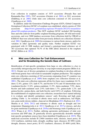<span id="page-13-0"></span>Core collection in sorghum consists of 3475 accessions (Prasada Rao and Ramanatha Rao [1995\)](#page-24-0), 2247 accessions (Grenier et al. [2001](#page-23-0)) or 3011 accessions (Dahlberg et al. [2004](#page-23-0)) while mini core collection consisted of 242 accessions (Upadhyaya et al. [2009](#page-26-0)).

In addition, under the Generation Challenge Program (GCP), Global Composite Germplasm Collection (GCGC) of sorghum was established, which consists of 3384 accessions [\(http://www.generationcp.org/issue-59-march-2012/32-research/sor](http://www.generationcp.org/issue-59-march-2012/32-research/sorghum/180-sorghum-products) [ghum/180-sorghum-products](http://www.generationcp.org/issue-59-march-2012/32-research/sorghum/180-sorghum-products)). This GCP sorghum GCGC included 280 breeding lines and elite cultivars from public sorghum breeding programs, 68 wild and weedy accessions, and over 3000 landrace accessions from collections held by CIRAD or ICRISAT that were selected either from previously defined core collections (Grenier et al. [2001;](#page-23-0) Upadhyaya et al. [2009](#page-26-0)) for resistance to various biotic stresses, and/or for variation in other agronomic and quality traits. Further sorghum GCGC was genotyped with 41 SSR markers and formed a genotype-based reference set of 383 accessions that captured 78.3% of the SSR alleles detected in the sorghum GCGC (Billot et al. [2013\)](#page-23-0).

#### 6 Mini core Collection for Trait Enhancement and for Broadening the Genetic Base of Cultivars

Identification of trait-specific germplasm from large ex situ collection is a key to successfully introgressing new diversity in crop improvement programs (Billot et al. [2013\)](#page-23-0). Greater use of diverse germplasm in sorghum breeding to develop cultivars with broad genetic base will result in sustainable sorghum production. The sorghum mini core collection consisting of 242 accessions originating from 57 countries was established (Upadhyaya et al. [2009](#page-26-0)) from sorghum core collection (Grenier et al. [2001\)](#page-23-0). The mini core collection represents all the five basic races (caudatum 16.1%, durra 12.4%, guinea 12%, kafir 8.7%, and bicolor 8.3%) and 10 intermediate races (caudatum-bicolor 12.4%; guinea-caudatum 11.2%; durra-caudatum 7.9%; durrabicolor and kafir-caudatum each 2.9%; kafir-durra 1.7%; guinea-kafir 1.2%; and guinea-bicolor, guinea-durra, and kafir-bicolor each 0.8%) of sorghum. Following the establishment of sorghum mini core collection, researchers have started utilizing it to evaluate and identify germplasm sources' early flowering and high grain yielding (Table [1\)](#page-14-0), for resistant to abiotic stress such as anthracnose, leaf blight, rust, grain mold, downy mildew, charcoal rot (Borphukan [2014](#page-23-0); Radwan et al. [2011;](#page-25-0) Sharma et al. [2010](#page-25-0), [2012\)](#page-25-0) and tolerance to abiotic such as drought and low temperature (Kapanigowda et al. [2013](#page-24-0); Upadhyaya et al. [2017a\)](#page-26-0) stresses, and also for grain nutritional (Upadhyaya et al. [2016a\)](#page-26-0) and bioenergy traits (Upadhyaya et al. [2014;](#page-26-0) Wang et al. [2011\)](#page-26-0). Further, utilizing agronomic performance of mini core accession and SNP data, 28 genetically diverse agronomically desirable multiple trait-specific germplasm sources have been identified (Upadhyaya et al. [2019\)](#page-26-0). This multi-trait accessions include IS 23684 (nutrition traits, diseases, insect pests), IS 1212 (earliness, nutrition traits, drought, seedling vigor, diseases), IS 5094 (yield, drought, diseases, insect pests), IS 473 (earliness, diseases), IS 4698 (yield, Brix,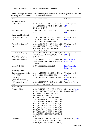| Trait                                                                     | Mini core accession                                                                                                                                                                                                                                                                                                                                                                                                                                                                                                                                                             | References                                    |  |
|---------------------------------------------------------------------------|---------------------------------------------------------------------------------------------------------------------------------------------------------------------------------------------------------------------------------------------------------------------------------------------------------------------------------------------------------------------------------------------------------------------------------------------------------------------------------------------------------------------------------------------------------------------------------|-----------------------------------------------|--|
| <b>Agronomic traits</b>                                                   |                                                                                                                                                                                                                                                                                                                                                                                                                                                                                                                                                                                 |                                               |  |
| Early maturing                                                            | IS 1233, IS 2379, IS 2864, IS 12706, IS<br>14861, IS 16382, IS 17941, IS 20298, IS<br>28313 and IS 28849                                                                                                                                                                                                                                                                                                                                                                                                                                                                        | Upadhyaya et al.<br>(2019)                    |  |
| High grain yield                                                          | IS 4698, IS 23590, IS 23891 and IS<br>28141                                                                                                                                                                                                                                                                                                                                                                                                                                                                                                                                     | Upadhyaya et al.<br>(2019)                    |  |
| <b>Grain nutritional traits</b>                                           |                                                                                                                                                                                                                                                                                                                                                                                                                                                                                                                                                                                 |                                               |  |
| Fe, 40.3–48.6 mg $kg^{-1}$<br>seed                                        | IS 16382, IS 23992, IS 28313, IS 28389,<br>IS 28849, IS 20743, IS 21645, IS 21863,<br>IS 28747, IS 30508 and IS 31681                                                                                                                                                                                                                                                                                                                                                                                                                                                           | Upadhyaya et al.<br>(2016a)                   |  |
| Zn, 32.2–36.4 mg $kg^{-1}$<br>seed                                        | IS 30460, IS 602, IS 17980, IS 19859, IS<br>28451, IS 30466, IS 30536, IS 5301, IS<br>8774, IS 4951, IS 25249, IS 24139, IS<br>24175 and IS 24218                                                                                                                                                                                                                                                                                                                                                                                                                               | Upadhyaya et al.<br>(2016a)                   |  |
| Fe, 40.8–48.9 mg $kg^{-1}$<br>seed and Zn,<br>32.8–42.6 mg $kg^{-1}$ seed | IS 1219, IS 1233, IS 30450, IS 30507, IS<br>1212, IS 27786, IS 30383, IS 31651 and<br>IS 24503                                                                                                                                                                                                                                                                                                                                                                                                                                                                                  | Upadhyaya et al.<br>(2016a)                   |  |
| Protein (12.2-13.8%)                                                      | IS 2902, IS 4951, IS 19975, IS 23684, IS<br>25249, IS 25910, IS 25989, IS 26025 and<br>IS 26046                                                                                                                                                                                                                                                                                                                                                                                                                                                                                 | http://genebank.<br>icrisat.org/              |  |
| Lysine $(3.1-4.3\%)$                                                      | IS 3971, IS 25836 and IS 5386                                                                                                                                                                                                                                                                                                                                                                                                                                                                                                                                                   | http://genebank.<br>icrisat.org/              |  |
| <b>Bioenergy traits</b>                                                   |                                                                                                                                                                                                                                                                                                                                                                                                                                                                                                                                                                                 |                                               |  |
| Stalk sugar content (Brix:<br>$14.0 - 15.2\%)$                            | IS 13294, IS 13549, IS 23216, IS 23684,<br>IS 24139, IS 24939 and IS 24953                                                                                                                                                                                                                                                                                                                                                                                                                                                                                                      | Upadhyaya et al.<br>(2014)                    |  |
| Dual purpose<br>(grain and sweet stalk)                                   | IS 1004, IS 4698, IS 23891 and IS 28141                                                                                                                                                                                                                                                                                                                                                                                                                                                                                                                                         | Upadhyaya et al.<br>(2014)                    |  |
| High saccharification<br>yield                                            | IS 2872, IS 27887, IS 19262, IS 3158, IS<br>7305, IS 33353 and IS 4951                                                                                                                                                                                                                                                                                                                                                                                                                                                                                                          | Wang et al. (2011)                            |  |
| <b>Biotic stresses</b>                                                    |                                                                                                                                                                                                                                                                                                                                                                                                                                                                                                                                                                                 |                                               |  |
| Downy mildew                                                              | IS 28747, IS 31714, IS 23992, IS 27697,<br>IS 28449, IS 30400; IS 1212, IS 2413, IS<br>3121, IS 4060, IS 4360, IS 4372, IS<br>4613, IS 4631, IS 5094, IS 7305, IS<br>9745, IS 12302, IS 12804, IS 12883, IS<br>12965, IS 13549, IS 15170, IS 15478, IS<br>15945, IS 16528, IS 20625, IS 20632, IS<br>21083, IS 22294, IS 22720, IS 23216, IS<br>24453, IS 24462, IS 24463, IS 26222, IS<br>26484, IS 26617, IS 26749, IS 27557, IS<br>29239, IS 29314, IS 29358, IS 29392, IS<br>29606, IS 29627, IS 29654, IS 30092, IS<br>30383, IS 30443, IS 30466, IS 30562 and<br>IS 31557 | Sharma et al. (2010),<br>Radwan et al. (2011) |  |
| Grain mold                                                                | IS 602, IS 603, IS 608, IS 1233, IS 2413,<br>IS 3121, IS 12697, IS 12804, IS 20727,<br>IS 20740, IS 20743, IS 20816, IS 30562,                                                                                                                                                                                                                                                                                                                                                                                                                                                  | Sharma et al. (2010)                          |  |

<span id="page-14-0"></span>Table 1 Germplasm sources identified in sorghum minicore collection for grain nutritional and bioenergy traits and for biotic and abiotic stress tolerance

(continued)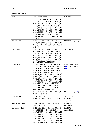| Trait              | Mini core accession                                                                                                                                                                                                                                                                                                                                                                                                                                                                                                                                        | References                                           |
|--------------------|------------------------------------------------------------------------------------------------------------------------------------------------------------------------------------------------------------------------------------------------------------------------------------------------------------------------------------------------------------------------------------------------------------------------------------------------------------------------------------------------------------------------------------------------------------|------------------------------------------------------|
|                    | IS 31681, IS 2379, IS 2864, IS 12302, IS<br>13971, IS 17941, IS 19389, IS 23992, IS<br>26694, IS 29335, IS 21512, IS 21645, IS<br>12945, IS 22294, IS 995, IS 2426, IS<br>12706, IS 16151, IS 24453, IS 26701, IS<br>29326, IS 30383, IS 30533, IS 30536, IS<br>20956, IS 29314, IS 30092, IS 10969, IS<br>23590, IS 29187, IS 29269, IS 473, IS<br>29304, IS 1212, IS 13893, IS 29241 and<br>IS 29568                                                                                                                                                     |                                                      |
| Anthracnose        | IS 473, IS 5301, IS 6354, IS 7679, IS<br>10302, IS 16382, IS 19153, IS 20632, IS<br>20956, IS 23521, IS 23684, IS 24218 and<br>IS 24939                                                                                                                                                                                                                                                                                                                                                                                                                    | Sharma et al. $(2012)$                               |
| Leaf blight        | IS 473, IS 2382, IS 7131, IS 9108, IS<br>9177, IS 9745, IS 12937, IS 12945, IS<br>14861, IS 19445, IS 20743, IS 21083, IS<br>23521, IS 23644, IS 23684, IS 24175, IS<br>24503, IS 24939, IS 24953, IS 26694, IS<br>26749, IS 28614, IS 29187, IS 29233, IS<br>29714, IS 31557 and IS 33353                                                                                                                                                                                                                                                                 | Sharma et al. $(2012)$                               |
| Charcoal rot       | IS 24463, IS 4515, IS 13549, IS 29582,<br>IS 25301, IS 12735, IS 30533, IS 23514,<br>IS 29950, IS 14010, IS 14090, IS 29358,<br>IS 19859, IS 16528, IS 22986, IS 5094,<br>IS 26046, IS 23590, IS 24503, IS 21512,<br>IS 29269, IS 27697, IS 19676, IS 19389,<br>IS 22294, IS 7250, IS 17941, IS 602, IS<br>30092, IS 29733, IS 31557, IS 23216, IS<br>10757, IS 12945, IS 29606, IS 12697, IS<br>31651, IS 7679, IS 23891, IS 32787, IS<br>29091, IS 29335, IS 30466, IS 4631, IS<br>29233, IS 28451, IS 24218, IS 1041, IS<br>30507, IS 29627 and IS 2379 | Kapanigowda et al.<br>$(2013)$ , Borphukan<br>(2014) |
| Rust               | IS 473, IS 23521, IS 23684, IS 24503, IS<br>26737 and IS 33023                                                                                                                                                                                                                                                                                                                                                                                                                                                                                             | Sharma et al. $(2012)$                               |
| Potyvirus spp.     | IS 7679 and IS 20740                                                                                                                                                                                                                                                                                                                                                                                                                                                                                                                                       | Seifers et al. $(2012)$                              |
| Shoot fly          | IS 2205, IS 4515, IS 4698 and IS 5094                                                                                                                                                                                                                                                                                                                                                                                                                                                                                                                      | <b>ICRISAT</b><br>unpublished                        |
| Spotted stem borer | IS 4698, IS 5094, IS 1041, IS 18039, IS<br>19445 and IS 23992                                                                                                                                                                                                                                                                                                                                                                                                                                                                                              | <b>ICRISAT</b><br>unpublished                        |
| Sugarcane aphid    | IS 2205, IS 4515, IS 4698, IS 18039, IS<br>1004, IS 3121, IS 4581, IS 5386, IS<br>12937, IS 15744, IS 16528, IS 20625, IS<br>20632, IS 23514, IS 23521, IS 23586, IS<br>23684, IS 24492, IS 24939, IS 25089, IS<br>25249, IS 25301, IS 25548, IS 27034, IS<br>27887, IS 28614, IS 29314, IS 29654, IS<br>29772, IS 31446, IS 31557 and IS 33023                                                                                                                                                                                                            | <b>ICRISAT</b><br>unpublished                        |

#### Table 1 (continued)

(continued)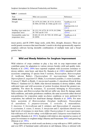| Trait                                          | Mini core accession                                                              | References                                                      |
|------------------------------------------------|----------------------------------------------------------------------------------|-----------------------------------------------------------------|
| <b>Abiotic stress</b>                          |                                                                                  |                                                                 |
| Drought                                        | IS 14779, IS 23891, IS 31714, IS 4515,<br>IS 5094, IS 9108, IS 15466 and IS 1212 | Upadhyaya et al.<br>$(2017a)$ ,<br>Kapanigowda et al.<br>(2013) |
| Seedling vigor under low<br>temperature stress | IS 1212, IS 14779, IS 15170, IS 22986,<br>IS 7305 and IS 7310                    | Upadhyaya et al.<br>(2016c)                                     |
| Germinability under low<br>temperature stress  | IS 602, IS 1233, IS 7305, IS 10302 and<br>IS 20956                               | Upadhyaya et al.<br>(2016c)                                     |

<span id="page-16-0"></span>

|  | <b>Table 1</b> (continued) |
|--|----------------------------|
|--|----------------------------|

insect pests), and IS 23891 (large seeds, yield, Brix, drought, diseases). These are useful genetic resources that meet breeder's needs to develop agronomically superior sorghum cultivars having desirable combinations of multiple traits and a broad genetic base.

#### 7 Wild and Weedy Relatives for Sorghum Improvement

Wild relatives of crops continue to play a key role in crop improvement and contribute genes for adaptation to various stresses besides yield and quality traits. Kamala et al. [\(2002](#page-24-0), [2009\)](#page-24-0) have reported sorghum wild accessions resistance to downy mildew, stem borer, and shoot fly. Kamala et al. [\(2002\)](#page-24-0) identified 45 wild accessions comprising 15 species from 4 sections, Parasorghum, Heterosorghum (S. laxiflorum Bailey), Chaetosorghum (S. macrospermum Garber), and Stiposorghum (S. angustum S.T. Blake, S.ecarinatum Lazarides, S. extans Lazarides, S. intrans F. Muell. ex Benth., S. interjectum Lazarides, S. stipoideum (Ewart & Jean White) C. Gardener  $&$  C.E. Hubb.) that showed immunity to downy mildew, while cultivated types and wild accessions of section Sorghum showed the greatest susceptibility. For shoot fly resistance, 32 accessions belonging to Parasorghum, Stiposorghum, and Heterosorghum that did not suffer any shoot fly damage under field conditions, and under greenhouse condition, the same accessions either showed non-preference for oviposition under no-choice conditions or were preferred for oviposition, but suffered low dead-heart damage (Kamala et al. [2009](#page-24-0)). For stem borer, accessions of Heterosorghum (Sorghum laxiflorum), Parasorghum (S. australiense, S. purpureo-sericeum, S. versicolor, S. matarankense, S. timorense, S. brevicallosum and S. nitidum), and Stiposorghum (S. angustum, S. ecarinatum, S. extans, S. intrans, S. interjectum and S. stipoideum) showed very high levels of resistance to stem borer, while *Chaetosorghum* (S. *macrospermum*), four wild races of S. bicolor subsp. verticilliflorum and S. halepense were found to be susceptible (Kamala et al. [2012](#page-24-0)). Sorghum wild relatives also reported as sources of genes for resistance to sorghum midge (Sharma and Franzmann [2001\)](#page-25-0) and green bug (Duncan et al. [1991\)](#page-23-0).

Striga (also known as witch weed) can destroy a crop with up to a 100% yield loss and over 60% of farmland under cultivation in sub-Saharan Africa is infested with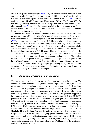<span id="page-17-0"></span>one or more species of Striga (Ejeta [2007](#page-23-0)). Striga resistance mechanisms such as low germination stimulant production, germination inhibition, and low historical initiation activity have been reported to occur in wild sorghum (Rich et al. [2004\)](#page-25-0). Mbuvi et al. [\(2017](#page-24-0)) have identified sorghum wild accessions (WSA 1, WSE 1, and WSA 2) that had significantly higher resistance to Striga than the resistant control, N13. Gobena et al. [\(2017](#page-23-0)) have identified a gene regulating Striga resistance in sorghum. Mutant alleles at the *LGS1* (*Low Germination Stimulant 1*) locus drastically reduce Striga germination stimulant activity.

Valuable traits such as resistance/tolerance to biotic and abiotic stresses are often present but inaccessible in the wild relatives of cultivated crop species due to strong reproductive barriers that prevent hybridization between them. However, Price et al. [\(2006](#page-25-0)) demonstrated the production of hybrids involving cultivated sorghum (S. bicolor) with those of species from tertiary genepool (S. angustum, S. nitidum, and S. macrospermum) through use of recessive iap allele (dominant allele  $Iap =$  inhibition of alien pollen) to produce or eliminate the pollen-pistil incompatibilities that prevent hybridization. They used cytoplasmic male-sterile S. *bicolor* plants homozygous for the *iap* allele and three wild species S. angustum, S. nitidum, and S. macrospermumas pollen parents. The pollen of these three wild species readily germinated and the pollen tubes grew to the base of the S. bicolor ovary within 2 h after pollination, and obtained hybrids of S. bicolor  $\times$  S. macrospermum by simply germinating the hybrid seed, while S. bicolor  $\times$  S. angustum and S. bicolor  $\times$  S. nitidum hybrids through embryo rescue followed by in vitro culture techniques.

#### 8 Utilization of Germplasm in Breeding

The role of germplasm in the improvement of sorghum has been well recognized. To enhance the yield, adaptation along with resistance to pests and diseases, utilization of germplasm at ICRISAT and other places have proven to be very useful. One of the immediate uses of germplasm is directly released as cultivar after testing their yield and adaptation. There were many instances where selection from germplasm lines were directly released as cultivars. For example, the ICRISAT genebank supplies a large number of germplasm to researchers worldwide. Since 1974, the ICRISAT genebank has distributed over 268,000 samples of sorghum germplasm accessions to 110 countries. Of the germplasm supplied by ICRISAT genebank, 39 accessions have been directly released as 41 varieties in 18 countries. Two accessions namely IS 8193 and IS 18758 have been released in more than one country (IS 8193 as Kari Mtama 2 and IS 8193 in Kenya and Rwanda, respectively; IS 18758 as E-35-1 and Gambella 1107 in Burkina Faso and Burundi, respectively). IS 18758 is a popular sorghum landrace from Ethiopia, belonging guinea-caudatum race, has excellent grain quality, high grain yield potential, and resistance to leaf disease. IS 33844 is an excellent Maldandi-type sorghum accession, with large and lustrous grains and high yield, and a selection from it has been released as "Parbhani Moti" for post-rainy cultivation in Maharashtra, India.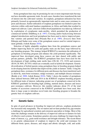<span id="page-18-0"></span>Some germplasm lines may be promising for one or more important traits but may not have desirable agronomic traits. In such cases, breeders have transferred the trait of interest into the cultivated varieties. In sorghum, germplasm utilization has been primarily focused on agronomically important traits and in some cases resistance to pests and diseases. Earlier utilization of sorghum germplasm was limited to pure line selection within cultivated landrace populations in Africa and India that resulted in improved cultivars. Later, selection within dwarf populations was taken up, followed by exploitation of cytoplasmic male-sterility, which permitted the production of commercial hybrids (Dahlberg et al. [1997](#page-23-0)). Crossing and/or backcrossing between adapted introductions and local germplasm has been used to derive improved pureline varieties and parental lines (Prasada Rao et al. [1989\)](#page-24-0). Zerazera lines from Ethiopia and Sudan were some of the germplasm sources used in varietal improvement globally (Ashok Kumar [2018\)](#page-22-0).

Selection of highly adaptable sorghum lines from the germplasm sources and further improving them for yield and quality traits are the basic steps followed by any breeding program. This strategy helped ICRISAT to maximize the utilization of germplasm in breeding program and enhance the yield potential significantly. The improved lines developed using these sources are later shared with public and private partners, globally. The ICRISAT germplasm lines have been used for the development of high yielding male sterile lines (CK 60, 172, 2219) and restorers (IS 84, IS 3691, IS 3541) which are eventually used in hybrid development. Genetic diversification of hybrid parents using germplasm lines in breeding program helped in developing heterotic hybrids that improved the yields in farmers' fields. Using the germplasm lines, resistance for different pests and diseases has been transferred such as shoot fly, stem borer resistance, midge resistance, and multiple disease resistance (Reddy et al. [2008](#page-25-0); Ashok Kumar [2018\)](#page-22-0). Table [2](#page-19-0) shows the number of germplasm lines utilized between 2000 and 2014 in the ICRISAT sorghum breeding program for different traits of interest, indicating greater use of germplasm conserved in the ICRISAT genebank for breeding high yielding, nutrient dense, diseases and insect pest resistance cultivars. However, this number indicates about 2% of the total number of accessions conserved in the ICRISAT genebank have been used, thus there is large scope to introduce novel traits into breeding program to broaden the genetic base of sorghum cultivars.

#### 9 Genetic Gains

In spite of good advances in breeding for improved cultivars, sorghum production has increased only marginally. The on-station and on-farm productivity gap remains a challenge for agricultural scientists and extension specialists to bridge. Most of the times the challenge remains in the delivery of improved cultivars to farmers for lack of effective seed systems. Sometimes genetics also pose challenge for improving the traits of interest, e.g., grain mold resistance and drought tolerance. The recent thrust is on genetic enhancement of sorghum to improve the yield and resistance for different biotic (pests, diseases, and striga) and abiotic (drought, cold, and acidic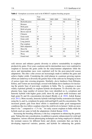|                |                  | Year      |           |                |                |
|----------------|------------------|-----------|-----------|----------------|----------------|
| S No           | Trait            | 2000-2004 | 2005-2009 | 2010-2014      | Total          |
| 1              | Biofortification | -         | 33        | 62             | 95             |
| $\overline{2}$ | <b>Biomass</b>   | -         | 29        | -              | 29             |
| 3              | Bold grain       | 17        | -         | -              | 17             |
| $\overline{4}$ | Bold red grain   | 7         | -         | -              | 7              |
| 5              | Brown mid rib    | 3         | -         | -              | 3              |
| 6              | Chimeric         | -         | -         | $\overline{2}$ | $\overline{c}$ |
| 7              | Grain mold       | 25        | 14        | 22             | 61             |
| 8              | Grain yield      | 99        | 65        | 51             | 215            |
| 9              | Long panicle     | 4         | -         | -              | $\overline{4}$ |
| 10             | Pop sorghum      | 8         | -         |                | 8              |
| 11             | Rabi adaptation  | -         | 42        | -              | 42             |
| 12             | Shoot fly        | 15        | 30        | 110            | 155            |
| 13             | Sweet stalk      | 12        | 71        | 82             | 165            |
| 14             | Waxy             | 9         | -         | -              | 9              |
|                | Grand total      | 199       | 284       | 329            | 812            |

<span id="page-19-0"></span>Table 2 Germplasm accessions used in the ICRISAT sorghum breeding program

soil) stresses and enhance genetic diversity to achieve sustainability in sorghum productivity gains. Over years *caudatum* and its intermediate races were exploited in sorghum to increase the grain yields for the rainy/summer adaptations while the durra and intermediate races were exploited well for the post-rainy/cold season adaptations. The elite x elite crosses are increasingly made to stabilize the gains and achieve higher yields. Considering the yield plateau in *caudatum* growing regions efforts are underway to diversify the genetic base of the cultivars by bringing in more of *guinea* types into crossing programs. Similarly, *durra* landraces from Ethiopia, Eritrea, and Yemen are increasingly crossed with Indian durra landraces for increasing the genetic base of post-rainy sorghums in India. The  $A_1$  cytoplasm is most widely exploited globally in sorghum hybrids development. To diversify the cytoplasmic base, large number of restorer lines were identified on  $A<sub>2</sub>$  cytoplasm and heterotic hybrids with higher grain yield, shoot fly and grain mold resistance and high grain Fe and Zn concentration developed (Reddy et al. [2010](#page-25-0); Ashok Kumar et al. [2011\)](#page-22-0). More recently, heterotic hybrids with high fertility restoration developed using the  $A_3$  and  $A_4$  cytoplasm for grain yield and high Fe and Zn concentration. The increased genetic gain from these efforts is manifested under good management conditions like rice-fallow sorghum where the yield levels in farmers' fields are more than 8 t ha<sup>-1</sup> compared to  $\langle 1.5 \text{ t} \text{ ha}^{-1}$  for rainy season sorghum in India while the hybrids used are same in both the adaptations (Ashok Kumar [2018\)](#page-22-0).

Increasing the breeding efficiency is the key component in enhancing the genetic gain. Taking this into consideration, in addition to genetic enhancement for yield and adaptation, various efficient phenotyping techniques are being employed to identify the resistant sources for different biotic and abiotic constraints that can help in developing improved varieties, parents, and hybrids for enhancing the genetic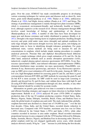gains. Over the years, ICRISAT has made considerable progress in developing various screening techniques for various pests and diseases such as shoot fly, stem borer, grain mold (Bandyopadhyay et al. [1988](#page-22-0); Thakur et al. [2006\)](#page-25-0), anthracnose (Pande et al. [1994\)](#page-24-0), leaf blight, downy mildew (Pande et al. [1997\)](#page-24-0) and Striga. The strategy of pest/disease management is mainly through host plant resistance (HPR), which is economical, environment-friendly, and technically feasible at farmers' level, although expensive at the research level. Disease management through HPR involves sound knowledge of biology and epidemiology of the disease (Bandyopadhyay et al. [2000](#page-22-0)). A number of elite lines have been developed for major pest and disease resistance and widely distributed to partners (Reddy et al. [2012\)](#page-25-0). Drought is the major limiting factor in sorghum production. Seedling drought recovery and grain yield under water stress (drought) and optimal conditions for early-stage drought, mid-season drought recovery and stay green, non-lodging are important traits to focus in identifying drought tolerance germplasm. For grain nutritional traits, various methods are being used to measure Fe and Zn concentrations in sorghum, which include simple staining procedures to complex analytical protocols. Prussian blue and diphenyl thiocarbazone-based dithizone (DTZ) is a simple technique which gives rough estimation of Fe and Zn. On the other hand, analytical methods such as atomic absorption spectrometer (AAS), inductively coupled plasma-optical emission spectrometer (ICP-OES), X-ray fluorescence spectrometer (XRF), near-infrared reflectance spectrophotometer (NIRS), elemental distribution maps secondary ion mass spectrometry (NanoSIMS), synchrotron X-ray, fluorescence spectroscopy, and micro- X-ray fluorescence spectroscopy (μ-XRF) gives exact estimation of Fe and Zn in the grain. Among all, XRF is a low-cost, high-throughput method for assessing grain Fe and Zn, and there is good correspondence between ICP-OES and XRF methods for assessing the grain Fe and Zn but ICP is more accurate. So XRF could be used in large-scale screening to identify and discard low Fe and Zn lines, and validate those lines with high Fe and Zn using ICP-OES method. Contamination through soil, dust, metallic, or any other foreign material should be avoided for accurate results.

Information on genetic gain achieved over time is essential to develop effective and efficient breeding strategies and suggest on future direction to facilitate further improvement. Rakshit et al. [\(2014](#page-25-0)) analyzed 40 years (1970–2009) of sorghum production data of the top 10 sorghum producing countries (United States, India, Mexico, Nigeria, Sudan, Ethiopia, Australia, Brazil, China, and Burkina Faso) to study the global trends of sorghum area and yield. The study indicated that, globally, sorghum harvested area declined at a linear rate of  $154,000$  ha year<sup>-1</sup> over the last four decades. China, India, and the United States, recorded drastic reduction in harvested area. Compared with 1970 baseline, maximum area loss was in China  $(-89%)$  followed by the United States  $(-59%)$  and India  $(-56%)$ , while other countries recorded in increase in area under sorghum. Brazil recorded maximum proportional increase in area compared with the 1970 baseline followed by Ethiopia, Sudan, Australia, Mexico, Nigeria, and Burkina Faso in decreasing order. However, global sorghum yield has not changed significantly across years, while decadal analysis showed a nearly 30 kg ha<sup> $-1$ </sup> year<sup>-1</sup> increase in yield during the first decade,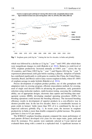

Fig. 1 Sorghum grain yield (kg  $ha^{-1}$ ) during the last five decades, in India and globally

which was followed by a decline at 12 kg ha<sup>-1</sup> year<sup>-1</sup> until 1995, after which there were insignificant changes in yield (Rakshit et al. [2014](#page-25-0)). Relative to yield level of 1970, sorghum productivity increased annually at  $0.96\%$  year<sup>-1</sup> across the top 10 countries, and China (100.9 kg ha<sup>-1</sup> year<sup>-1</sup>) and Nigeria (48.6 kg ha<sup>-1</sup> year<sup>-1</sup>) experienced phenomenal yield gain before reaching a plateau. Adoption of hybrids has contributed significantly to yield gains in countries like China, the United States, Australia, Brazil, and Mexico and to rainy-season sorghum in India, where 85–100% of sorghum acreage in under hybrids (Rakshit et al. [2014](#page-25-0)).

Precise development of sorghum product profiles, use of elite germplasm with adaptation traits in crossing program, efficient emasculation methods for crossing, used of single seed descent (SSD) in advancing the generations, early generation selection using molecular markers, multi-location testing, assessing the combining ability, use of appropriate designs, electronic data capture and breeding data management systems (BMS), developing standard operating procedures (SOPs) for breeding operations could increase the breeding efficiency. The increased breeding efficiency results in development of superior products in a cost-effective way in shortest possible time. In the last five decades, there is a considerable increase in grain yields in farmers' fields (more than 50% of it is contributed by the use of improved cultivars) globally (Fig. 1). In recent years, the increase in sorghum productivity in India is more than double compared to global increase. The genetic gain here is close to 0.5 per annum.

The ICRISAT sorghum breeding program compared the mean performance of seed parents (B-lines) developed over years for two major traits, grain yield and shoot fly resistance. Five parents were randomly selected at 5-year interval and evaluated them along with a control in a replicated trial. A significant increase in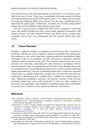<span id="page-22-0"></span>grain yield in the recently developed parents was observed vis-à-vis parents developed in the last 20 years. There was a considerable yield improvement in B-lines developed during the last decade with a genetic gain of  $\sim$ 3%. Apart from selections, assessing the combining ability of the parents may also play a significant role in improving the genetic gains. Furthermore, increasing the diversity among hybrid parents may also be helpful in improving the genetic gains.

The rate of genetic gain in sorghum has been slower compared to other field crops, that could be because the crop is grown under marginal environments with limited resources, and often affected by biotic and abiotic stresses, besides other constraints such as poor crop management and low research priority than other cereals.

#### 10 Future Direction

Globally a significant number of germplasm accessions have been conserved in genebanks, and they are source of genetic variation to potentially raise genetic gain, and continues to a key role in improving sorghum productivity and nutrition. Major constraints in the use of germplasm are time and resources required to precisely characterize the accessions at large scale. This could be avoided by the use of core and mini core collections, representing the entire diversity of germplasm. Diverse multi-trait-specific mini core germplasm accessions have been identified that would be a potential resource for broadening the genetic base of cultivar and for enhancing quality and productivity. The use of genebank passport data to extract the long-term climate data (e.g., rainfall, temperature, soil pH, frost, etc.) from the collection sites could help in identification new variability that is valuable for sorghum improvement. Sequencing germplasm accessions and genomic selection could fast-track genebank mining and could enable prediction of traits for larger numbers of accessions in the genebanks, and contribute to enhanced genetic gains and broaden the genetic base of cultivars and to enhance productivity and nutrition.

#### References

- Abdi A, Bekele E, Asfaw Z, Teshome A (2002) Patterns of morphological variation of sorghum (Sorghum bicolor L. Moench) landraces in qualitative characters in North Shewa and South Welo, Ethiopia. Hereditas 137:161–172
- Ashok Kumar A (2018) Sorghum hybrids development for important traits: progress and way forward. In: Ciampitti I, Prasad V (eds) Sorghum: state of the art and future perspectives. Agronomy monograph 58.  $\odot$  ASA and CSSA, Madison. [https://doi.org/10.2134/](https://doi.org/10.2134/agronmonogr58.2014.0059) [agronmonogr58.2014.0059](https://doi.org/10.2134/agronmonogr58.2014.0059)
- Ashok Kumar A, Reddy BVS, Sharma HC, Hash CT, Rao PS, Ramaiah B, Reddy PS (2011) Recent advances in sorghum genetic enhancement research at ICRISAT. Am J Plant Sci 2:589–600
- Bandyopadhyay R, Mughogho LK, Prasada Rao KE (1988) Sources of resistance to sorghum grain molds. Plant Dis 72:504–508
- Bandyopadhyay R, Butler DR, Chandrashekar A, Reddy AK, Navi SS (2000) Biology, epidemiology and management of sorghum grain mold. In: Chandrashekar A, Bandyopadhyay R, Hall AJ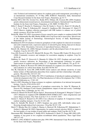<span id="page-23-0"></span>(eds) Technical and institutional options for sorghum grain mold management: proceedings of an international consultation,  $18-19$  May 2000, ICRISAT, Patancheru, India. International Crops Research Institute for the Semi-Arid Tropics, Patancheru, pp 34–71

- Bantilan MCS, Deb UK, Gowda CLL, Reddy BVS, Obilana AB, Evenson RE (2004) Sorghum genetic enhancement research process, dissemination and impacts. International Crops Research Institute for the Semi-Arid Tropics, Patancheru, p 320. ISBN: 92-9066-470-3
- Billot C, Ramu P, Bouchet S, Chantereau J, Deu M, Gardes L, Noyer J-L, Rami J-F, Rivallan R, Li Y, Lu P, Wang T, Folkertsma RT, Arnaud E, Upadhyaya HD, Glaszmann J-C, Hash CT (2013) Massive sorghum collection genotyped with SSR markers to enhance use of global genetic resources. PLoS One 8:e59714
- Borad PK, Mittal VP (1983) Assessment of losses caused by pest complex to sorghum hybrid CSH 5. In: Krishnamurthy Rao BH, Murthy KSRK (eds) Crop losses due to insect pests. Special issue of the Indian Journal of Entomology. Entomological Society of India, Rajendranagar, Hyderabad, pp  $271 - 278$
- Borphukan B (2014) Evaluation of minicore germplasm of rabi sorghum for charcoal rot resistance and yield component traits, expression analysis of selected R-genes during charcoal rot disease incidence. M.Sc. Dissertation, University of Agricultural Sciences, Dharwad
- Borrell AK, Hammer GL (2000) Nitrogen dynamics and the physiological basis of stay-green in Sorghum. Crop Sci 40:1295–1307
- Casa AM, Pressoir G, Brown PJ, Mitchell SE, Rooney WL, Tuinstra MR, Franks CD, Kresovich S (2008) Community resources and strategies for association mapping in sorghum. Crop Sci 48:30–40
- Dahlberg JA, Hash CT, Kresovich S, Maunder B, Gilbert M (1997) Sorghum and pearl millet genetic resources utilization. In: Proceedings of the international conference on genetic improvement of sorghum and pearl millet,  $22-27$  September 1996, Lubbock, TX, pp 42–54
- Dahlberg JA, Burke JJ, Rosenow DT (2004) Development of a sorghum core collection: refinement and evaluation of a subset from Sudan. Econ Bot 58:556–567
- Das IK, Fakrudin B, Arora DK (2008) RAPD cluster analysis and chlorate sensitivity of some Indian isolates of Macrophomina phaseolina from sorghum and their relationships with pathogenicity. Microbiol Res 163:215–224
- Duncan RR, Bramel-Cox PJ, Miller FR (1991) Contributions of introduced sorghum germplasm to hybrid development in the USA. Use Plant Introduction in Cultivar Development, Part 1 CSSA Special Publication no. 17:69–102
- Ejeta G (2007) Breeding for Striga resistance in sorghum: exploitation of an intricate host-parasite biology. Crop Sci 47(S3):S216–S227
- Frankel OH (1984) Genetic perspective of germplasm conservation. In: Arber W, Illmensee K, Peacock WJ, Starlinger P (eds) Genetic manipulations: impact of man and society. Cambridge University Press, Cambridge, pp 161–170
- Gobena D, Shimels M, Rich PJ, Ruyter-Spira C, Bouwmeester H, Kanuganti S, Mengiste T, Ejeta G (2017) Mutation in sorghum LOW GERMINATION STIMULANT 1 alters strigolactones and causes Striga resistance. Proc Natl Acad Sci U S A 114:4471–4476
- Grenier C, Hamon P, Bramel-Cox PJ (2001) Core collection of sorghum: II. Comparison of three random sampling strategies. Crop Sci 41:241–246
- Harris K, Subudhi PK, Borrell A (2007) Sorghum stay green QTL individually reduce postflowering drought-induced leaf senescence. J Exp Bot 58:327–338
- Hash CT, Bhasker Raj AG, Lindup S, Sharma A, Beniwal CR, Folkertsma RT, Mahalakshmi V, Zerbini E, Blümmel M (2003) Opportunities for marker-assisted selection (MAS) to improve the feed quality of crop residues in pearl millet and sorghum. Field Crop Res 84:79–88
- Haussmann BIG, Mahalakshmi V, Reddy BVS, Seetharama N, Hash CT, Geiger HH (2002) QTL mapping of stay-green in two sorghum recombinant inbred populations. Theor Appl Genet 106:133–142
- ICRISAT (1992) ICRISAT medium-term plan 1994-1998. International Crops Research Institute for the Semi-Arid Tropics, Patancheru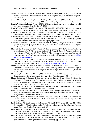- <span id="page-24-0"></span>Jordan DR, Tao YZ, Godwin ID, Henzell RG, Cooper M, McIntyre CL (1998) Loss of genetic diversity associated with selection for resistance to sorghum midge in Australian sorghum. Euphytica 102:1–7
- Jordan DR, Tao Y, Godwin ID, Henzell RG, Cooper M, McIntyre CL (2003) Prediction of hybrid performance in grain sorghum using RFLP markers. Theor Appl Genet 106:559–567
- Kamala V, Singh SD, Bramel PJ, Rao DM (2002) Sources of resistance to downy mildew in wild and weedy sorghums. Crop Sci 42:1357–1360
- Kamala V, Sharma HC, Rao DM, Varaprasad KS, Bramel P (2009) Wild relatives of sorghum as sources of resistance to sorghum shoot fly, Atherigona soccata. Plant Breed 128:137-142
- Kamala V, Sharma HC, Rao DM, Varaprasad KS, Bramul PJ, Chandra S (2012) Interactions of spotted stem borer Chilo partellus with wild relatives of sorghum. Plant Breed 131(4):511–521
- Kapanigowda MH, Perumal R, Djanaguiraman M, Aiken RM, Tesso T, Prasad PV, Little CR (2013) Genotypic variation in sorghum [Sorghum bicolor (L.) Moench] exotic germplasm collections for drought and disease tolerance. Springerplus 2:650
- Kassahun B, Bidinger FR, Hash CT, Kuruvinashetti MS (2010) Stay-green expression in early generation sorghum [Sorghum bicolor (L.) Moench] QTL introgression lines. Euphytica 172:351–362
- Mace ES, Tai S, Gilding EK, Li Y, Prentis PJ, Bian L, Campbell BC, Hu W, Innes DJ, Han X, Cruickshank A, Dai C, Frère C, Zhang H, Hunt CH, Wang X, Shatte T, Wang M, Su Z, Li J, Lin X, Godwin ID, Jordan DR, Wang J (2013) Whole-genome sequencing reveals untapped genetic potential in Africa's indigenous cereal crop sorghum. Nat Commun 4:2320. [https://doi.](https://doi.org/10.1038/ncomms3320) [org/10.1038/ncomms3320](https://doi.org/10.1038/ncomms3320)
- Mbuvi DA, Masiga CW, Kuria E, Masanga J, Wamalwa M, Mohamed A, Odeny DA, Hamza N, Timko MP, Runo S (2017) Novel sources of witchweed (Striga) resistance from wild sorghum accessions. Front Plant Sci 8:116. <https://doi.org/10.3389/fpls.2017.00116>
- Morris GP, Rhodes DH, Brenton Z, Ramu P, Thayil VM, Deshpande S, Hash CT, Acharya C, Mitchell SE, Buckler ES, Yu J, Kresovich S (2013) Dissecting genome-wide association signals for loss-of-function phenotypes in sorghum flavonoid pigmentation traits. G3 (Bethesda) 3:2085–2094
- Murray SC, Rooney WL, Hamblin MT, Mitchell SE, Kresovich S (2009) Sweet sorghum genetic diversity and association mapping for Brix and height. Plant Genome J 2:48–62
- Mutegi E, Sagnard F, Semagn K, Deu M, Muraya M, Kanyenji B, de Villiers S, Kiambi D, Herselman L, Labuschagne M (2011) Genetic structure and relationships within and between cultivated and wild sorghum (Sorghum bicolor (L.) Moench) in Kenya as revealed by microsatellite markers. Theor Appl Genet 122:989–1004
- Ngugi K, Onyango CM (2012) Analysis of the molecular diversity of Kenya sorghum germplasm using microsatellites. J Crop Sci Biotechnol 15:189–194
- Okeno JA, Mutegi E, de Villiers S, Wolt JD, Misra MK (2012) Morphological variation in the wildweedy complex of Sorghum bicolor in situ in western Kenya: preliminary evidence of crop-towild gene flow? Int J Plant Sci 173:507–515
- Pande S, Thakur RP, Karunakar RI, Bandyopadhyay R, Reddy BVS (1994) Development of screening methods and identification of stable resistance to anthracnose in sorghum. Field Crop Res 38:157–166
- Pande S, Bock CH, Bandyopadhyay R, Narayana YD, Reddy BVS, Lenné JM, Jeger MJ (1997) Downy mildew of Sorghum. Information Bulletin no. 51. International Crops Research Institute for the Semi-Arid Tropics, Patancheru, pp 1–35
- Prasada Rao KE, Ramanatha Rao V (1995) The use of characterisation data in developing a core collection of sorghum. In: Hodgkin T, Brown AHD, van Hintum TJL, Morales EAV (eds) Core collections of plant genetic resources. Wiley, Chichester, pp 109–116
- Prasada Rao KE, Mengesha MH, Reddy VG (1989) International use of sorghum germplasm collection. In: Brown AHD, Frankel OH, Marshall DR, Williams JT (eds) The use of plant genetic resources. Cambridge University Press, Cambridge, pp 150–167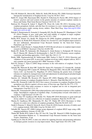- <span id="page-25-0"></span>Price HJ, Hodnett GL, Burson BL, Dillon SL, Stelly DM, Rooney WL (2006) Genotype dependent interspecific hybridization of Sorghum bicolor. Crop Sci 46:2617–2622
- Rabbi IY, Geiger HH, Haussmann BIG, Kiambi D, Folkertsma R, Parzies HK (2010) Impact of farmers' practices and seed systems on the genetic structure of common sorghum varieties in Kenya and Sudan. Plant Genet Resour Character Util 8:116–126
- Radwan GL, Perumal R, Isakeit T, Magill CW, Prom LK, Little CR (2011) Screening exotic sorghum germplasm, hybrids, and elite lines for resistance to a new virulent pathotype (P6) of Peronosclerospora sorghi causing downy mildew. Plant Heal Prog. [https://doi.org/10.1094/](https://doi.org/10.1094/PHP-2011-0323-01-RS) [PHP-2011-0323-01-RS](https://doi.org/10.1094/PHP-2011-0323-01-RS)
- Rakshit S, Hariprasanna K, Gomashe S, Ganapathy KN, Das IK, Ramana OV, Dhandapani A, Patil JV (2014) Changes in area, yield gains, and yield stability of sorghum in major sorghumproducing countries, 1970 to 2009. Crop Sci 54:1571–1584
- Reddy BVS, Kumar AA, Reddy PS, Elangovan M (2008) Sorghum germplasm: diversity and utilization. In: Reddy BVS, Ramesh S, Kumar AA, Gowda CLL (eds) Sorghum improvement in the new millennium. International Crops Research Institute for the Semi-Arid Tropics, Patancheru, pp 153–169
- Reddy BVS, Ashok Kumar A, Sanjana Reddy P (2010) Recent advances in sorghum improvement research at ICRISAT. Kasetsart J (Nat Sci) 44:499–506
- Reddy BV, Reddy PS, Sadananda AR, Dinakaran E, Ashok Kumar A, Deshpande SP, Srinivasa Rao P, Sharma HC, Sharma R, Krishnamurthy L, Patil JV (2012) Postrainy season sorghum: constraints and breeding approaches. J SAT Agric Res 10(1):1–12
- Reddy NRR, Ragimasalawada M, Sabbavarapu MM, Nadoor S, Patil JV (2014) Detection and validation of stay-green QTL in post-rainy sorghum involving widely adapted cultivar, M35-1 and a popular stay-green genotype B35. BMC Genomics 15:909
- Rich PJ, Grenier C, Ejeta G (2004) Striga resistance in the wild relatives of sorghum. Crop Sci 44:2221–2229
- Sabadin PK, Malosetti M, Boer MP, Tardin FD, Santos FG, Guimarães CT, Gomide RL, Andrade CLT, Albuquerque PEP, Caniato FF, Mollinari M, Margarido GRA, Oliveira BF, Schaffert RE, Garcia AAF, van Eeuwijk FA, Magalhaes JV (2012) Studying the genetic basis of drought tolerance in sorghum by managed stress trials and adjustments for phenological and plant height differences. Theor Appl Genet 124:1389–1402
- Sanchez AC, Subudhi PK, Rosenow DT, Nguyen HT (2002) Mapping QTLs associated with drought resistance in sorghum (Sorghum bicolor L. Moench). Plant Mol Biol 48:713–726
- Seifers DL, Perumal R, Little CR (2012) New sources of resistance in sorghum (Sorghum bicolor) germplasm are effective against a diverse array of Potyvirus spp. Plant Dis 96:1775–1779
- Sharma HC (1993) Host plant resistance to insects in sorghum and its role in integrated pest management. Crop Prot 12:11–34
- Sharma HC, Franzmann BA (2001) Host-plant preference and oviposition responses of the sorghum midge, Stenodiplosis sorghicola (Coquillett) (Dipt., Cecidomyiidae) towards wild relatives of sorghum. J Appl Entomol 125:109–114
- Sharma R, Rao VP, Upadhyaya HD, Reddy VG, Thakur RP (2010) Resistance to grain mold and downy mildew in a mini-core collection of sorghum sermplasm. Plant Dis 94:439–444
- Sharma R, Upadhyaya HD, Manjunatha SV, Rao VP, Thakur RP (2012) Resistance to foliar diseases in a mini-core collection of sorghum germplasm. Plant Dis 96:1629–1633
- Smith S, Primomo V, Monk R, Nelson B, Jons E, Porter K (2010) Genetic diversity of widely used U.S. sorghum hybrids 1980-2008. Crop Sci 50:1664–1673
- Subudhi PK, Nguyen HT (2000) Linkage group alignment of sorghum RFLP maps using a RIL mapping population. Genome 43:240–249
- Thakur RP, Reddy BVS, Indira S, Rao VP, Navi SS, Yang XB , Ramesh S (2006) Sorghum grain mold. Information Bulletin no. 72. International Crops Research Institute for the Semi-Arid Tropics, Patancheru, 32 pp
- Upadhyaya D, Ortiz R (2001) A mini core subset for capturing diversity and promoting utilization of chickpea genetic resources in crop improvement. Theor Appl Genet 102:1292–1298